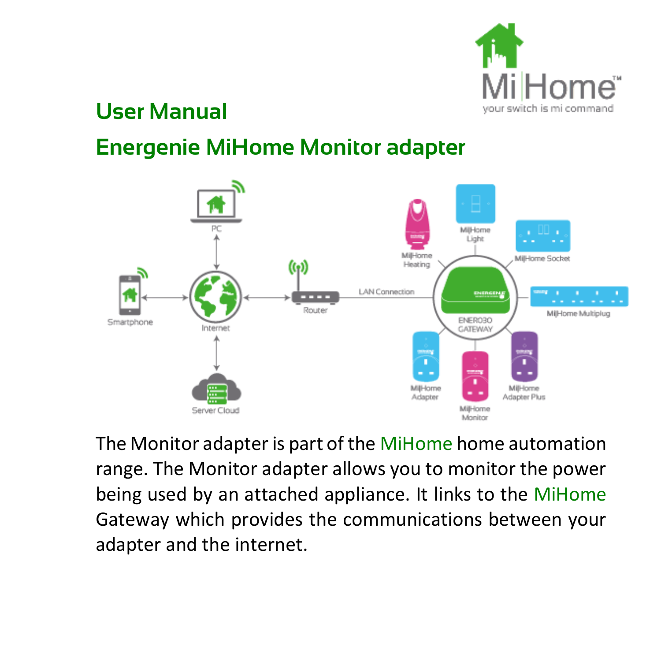

### **User Manual**

## **Energenie MiHome Monitor adapter**



The Monitor adapter is part of the MiHome home automation range. The Monitor adapter allows you to monitor the power being used by an attached appliance. It links to the MiHome Gateway which provides the communications between your adapter and the internet.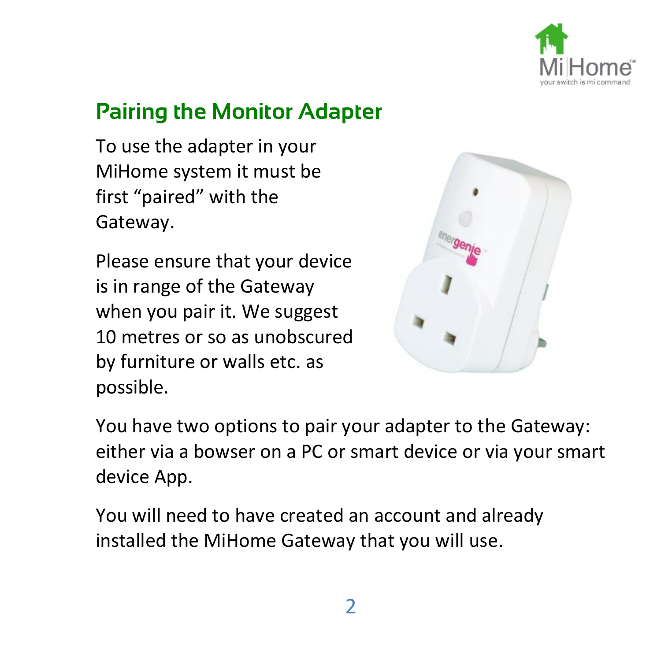

## **Pairing the Monitor Adapter**

To use the adapter in your MiHome system it must be first "paired" with the Gateway.

Please ensure that your device is in range of the Gateway when you pair it. We suggest 10 metres or so as unobscured by furniture or walls etc. as possible.



You have two options to pair your adapter to the Gateway: either via a bowser on a PC or smart device or via your smart device App.

You will need to have created an account and already installed the MiHome Gateway that you will use.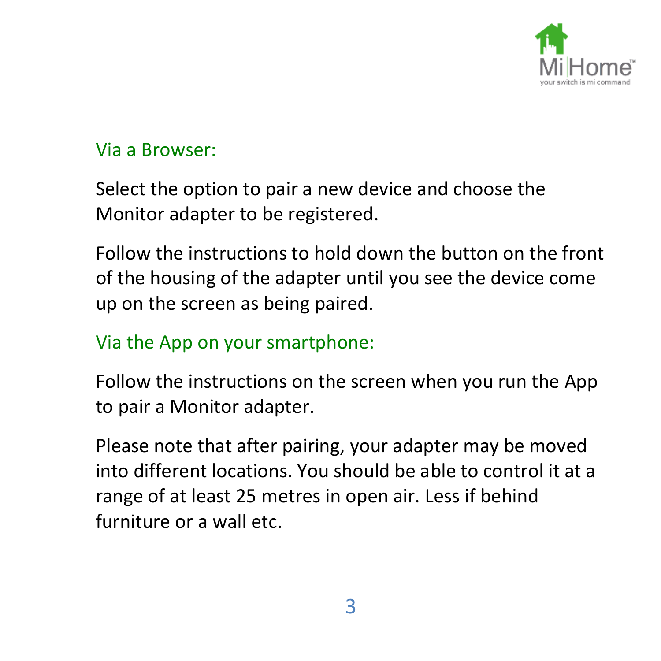

#### Via a Browser:

Select the option to pair a new device and choose the Monitor adapter to be registered.

Follow the instructions to hold down the button on the front of the housing of the adapter until you see the device come up on the screen as being paired.

#### Via the App on your smartphone:

Follow the instructions on the screen when you run the App to pair a Monitor adapter.

Please note that after pairing, your adapter may be moved into different locations. You should be able to control it at a range of at least 25 metres in open air. Less if behind furniture or a wall etc.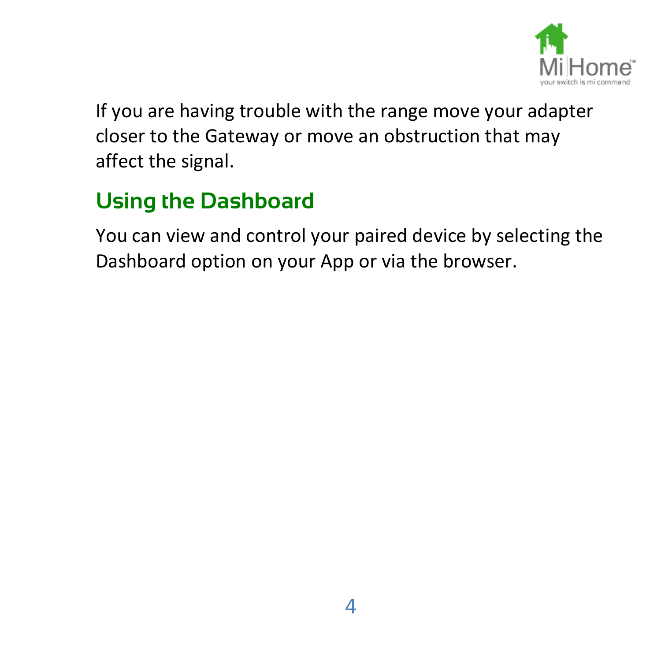

If you are having trouble with the range move your adapter closer to the Gateway or move an obstruction that may affect the signal.

# **Using the Dashboard**

You can view and control your paired device by selecting the Dashboard option on your App or via the browser.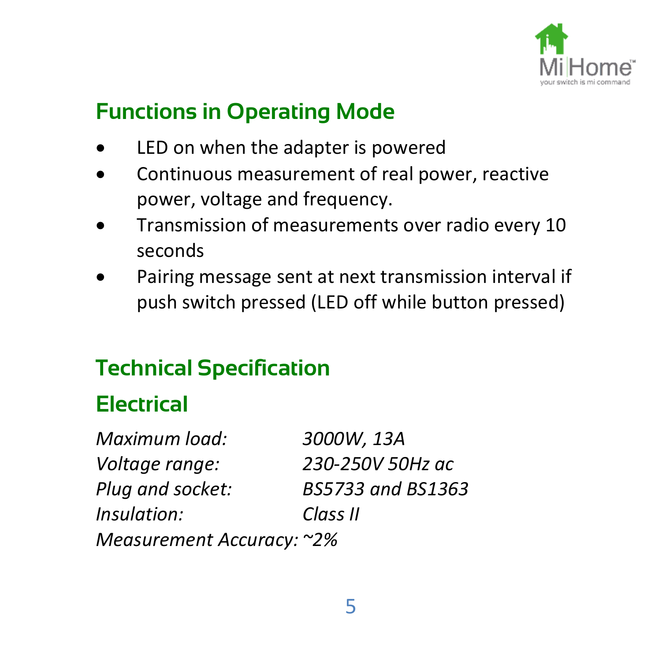

## **Functions in Operating Mode**

- LED on when the adapter is powered
- Continuous measurement of real power, reactive power, voltage and frequency.
- Transmission of measurements over radio every 10 seconds
- Pairing message sent at next transmission interval if push switch pressed (LED off while button pressed)

## **Technical Specification**

## **Electrical**

*Maximum load: 3000W, 13A Voltage range: 230-250V 50Hz ac Plug and socket: BS5733 and BS1363 Insulation: Class II Measurement Accuracy: ~2%*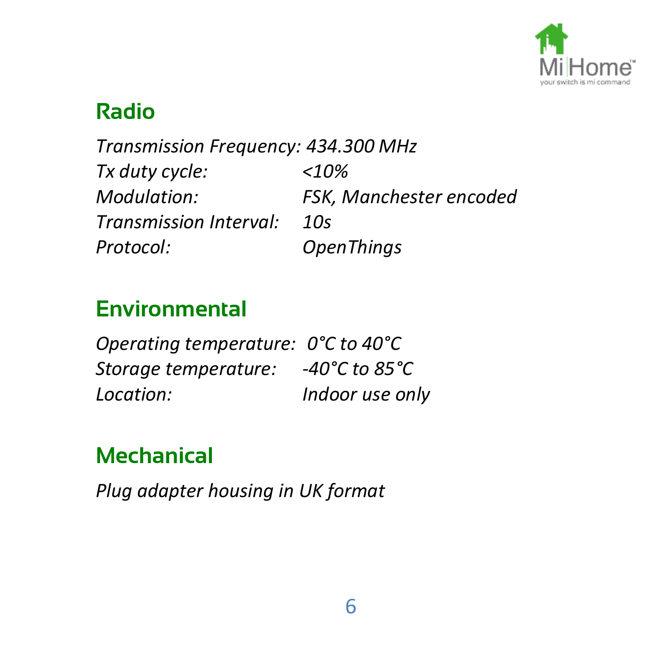

### **Radio**

*Transmission Frequency: 434.300 MHz Tx duty cycle: <10% Modulation: FSK, Manchester encoded Transmission Interval: 10s Protocol: OpenThings*

## **Environmental**

*Operating temperature: 0°C to 40°C Storage temperature: -40°C to 85°C Location: Indoor use only*

## **Mechanical**

*Plug adapter housing in UK format*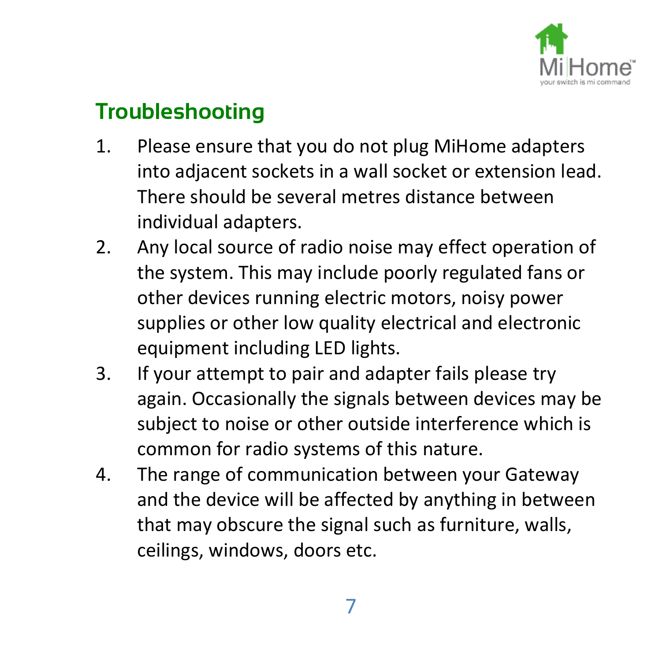

## **Troubleshooting**

- 1. Please ensure that you do not plug MiHome adapters into adjacent sockets in a wall socket or extension lead. There should be several metres distance between individual adapters.
- 2. Any local source of radio noise may effect operation of the system. This may include poorly regulated fans or other devices running electric motors, noisy power supplies or other low quality electrical and electronic equipment including LED lights.
- 3. If your attempt to pair and adapter fails please try again. Occasionally the signals between devices may be subject to noise or other outside interference which is common for radio systems of this nature.
- 4. The range of communication between your Gateway and the device will be affected by anything in between that may obscure the signal such as furniture, walls, ceilings, windows, doors etc.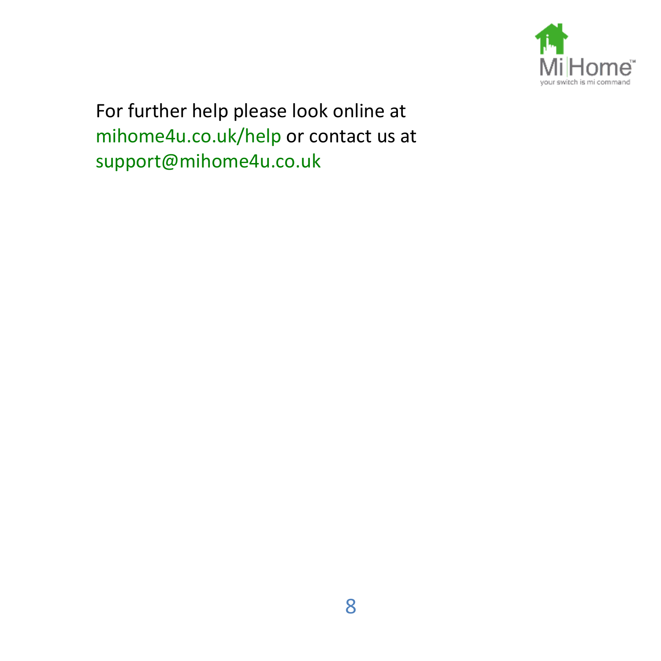

For further help please look online at mihome4u.co.uk/help or contact us at support@mihome4u.co.uk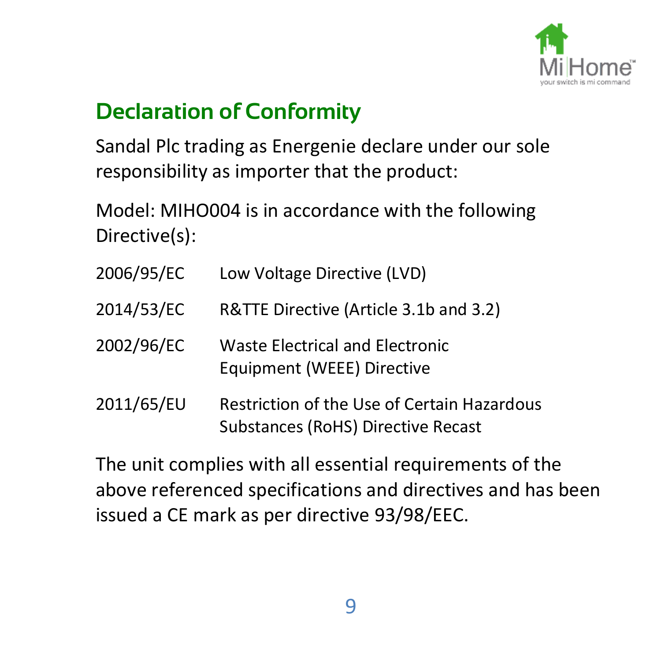

## **Declaration of Conformity**

Sandal Plc trading as Energenie declare under our sole responsibility as importer that the product:

Model: MIHO004 is in accordance with the following Directive(s):

| 2006/95/EC | Low Voltage Directive (LVD)                                                       |
|------------|-----------------------------------------------------------------------------------|
| 2014/53/EC | R&TTE Directive (Article 3.1b and 3.2)                                            |
| 2002/96/EC | Waste Electrical and Electronic<br>Equipment (WEEE) Directive                     |
| 2011/65/EU | Restriction of the Use of Certain Hazardous<br>Substances (RoHS) Directive Recast |

The unit complies with all essential requirements of the above referenced specifications and directives and has been issued a CE mark as per directive 93/98/EEC.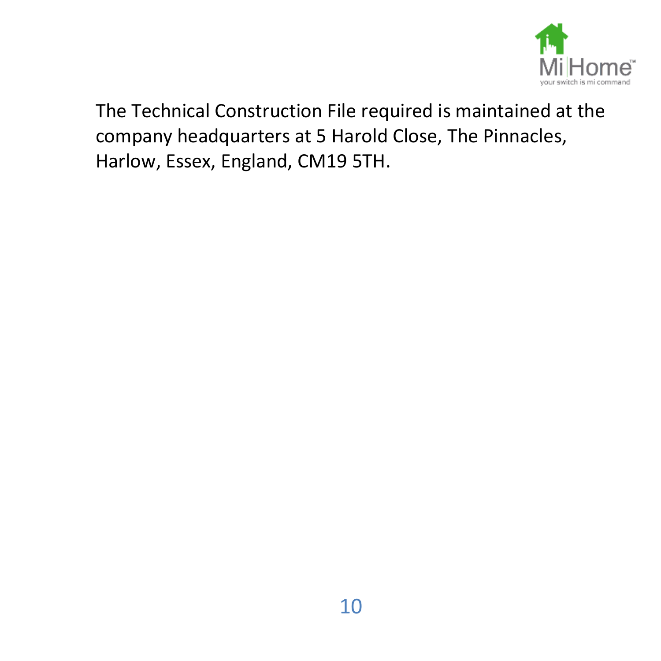

The Technical Construction File required is maintained at the company headquarters at 5 Harold Close, The Pinnacles, Harlow, Essex, England, CM19 5TH.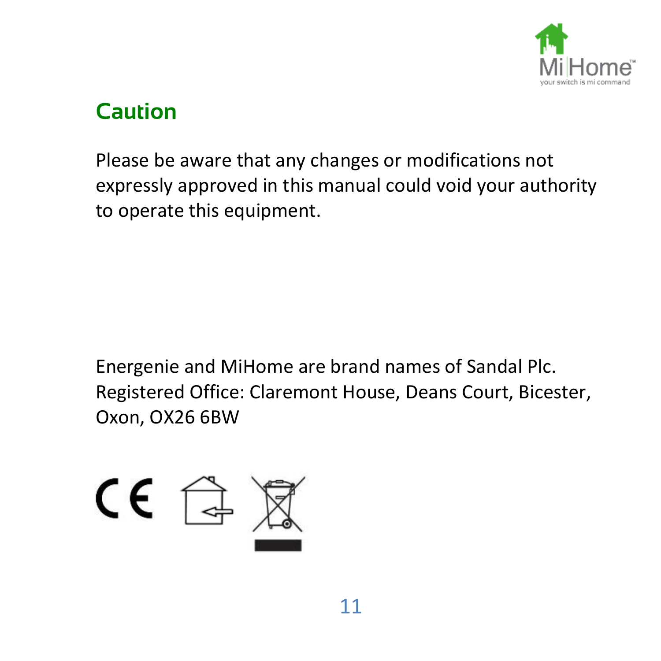

### **Caution**

Please be aware that any changes or modifications not expressly approved in this manual could void your authority to operate this equipment.

Energenie and MiHome are brand names of Sandal Plc. Registered Office: Claremont House, Deans Court, Bicester, Oxon, OX26 6BW

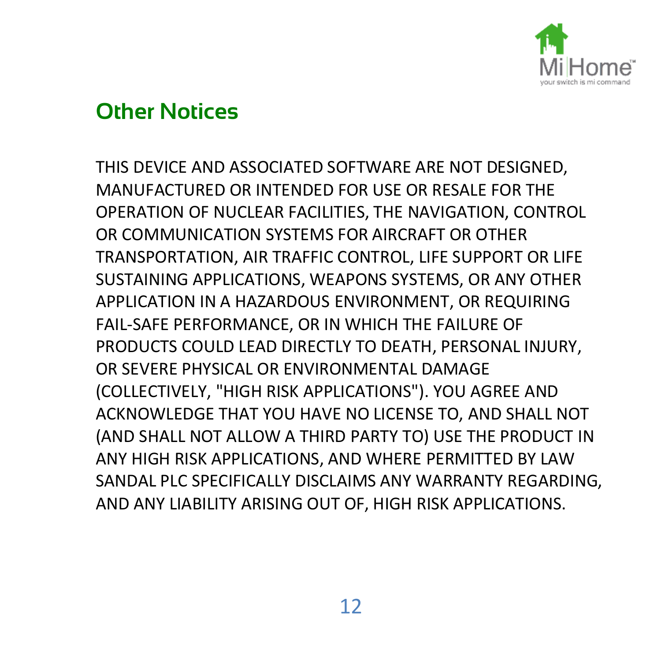

#### **Other Notices**

THIS DEVICE AND ASSOCIATED SOFTWARE ARE NOT DESIGNED, MANUFACTURED OR INTENDED FOR USE OR RESALE FOR THE OPERATION OF NUCLEAR FACILITIES, THE NAVIGATION, CONTROL OR COMMUNICATION SYSTEMS FOR AIRCRAFT OR OTHER TRANSPORTATION, AIR TRAFFIC CONTROL, LIFE SUPPORT OR LIFE SUSTAINING APPLICATIONS, WEAPONS SYSTEMS, OR ANY OTHER APPLICATION IN A HAZARDOUS ENVIRONMENT, OR REQUIRING FAIL-SAFE PERFORMANCE, OR IN WHICH THE FAILURE OF PRODUCTS COULD LEAD DIRECTLY TO DEATH, PERSONAL INJURY, OR SEVERE PHYSICAL OR ENVIRONMENTAL DAMAGE (COLLECTIVELY, "HIGH RISK APPLICATIONS"). YOU AGREE AND ACKNOWLEDGE THAT YOU HAVE NO LICENSE TO, AND SHALL NOT (AND SHALL NOT ALLOW A THIRD PARTY TO) USE THE PRODUCT IN ANY HIGH RISK APPLICATIONS, AND WHERE PERMITTED BY LAW SANDAL PLC SPECIFICALLY DISCLAIMS ANY WARRANTY REGARDING, AND ANY LIABILITY ARISING OUT OF, HIGH RISK APPLICATIONS.